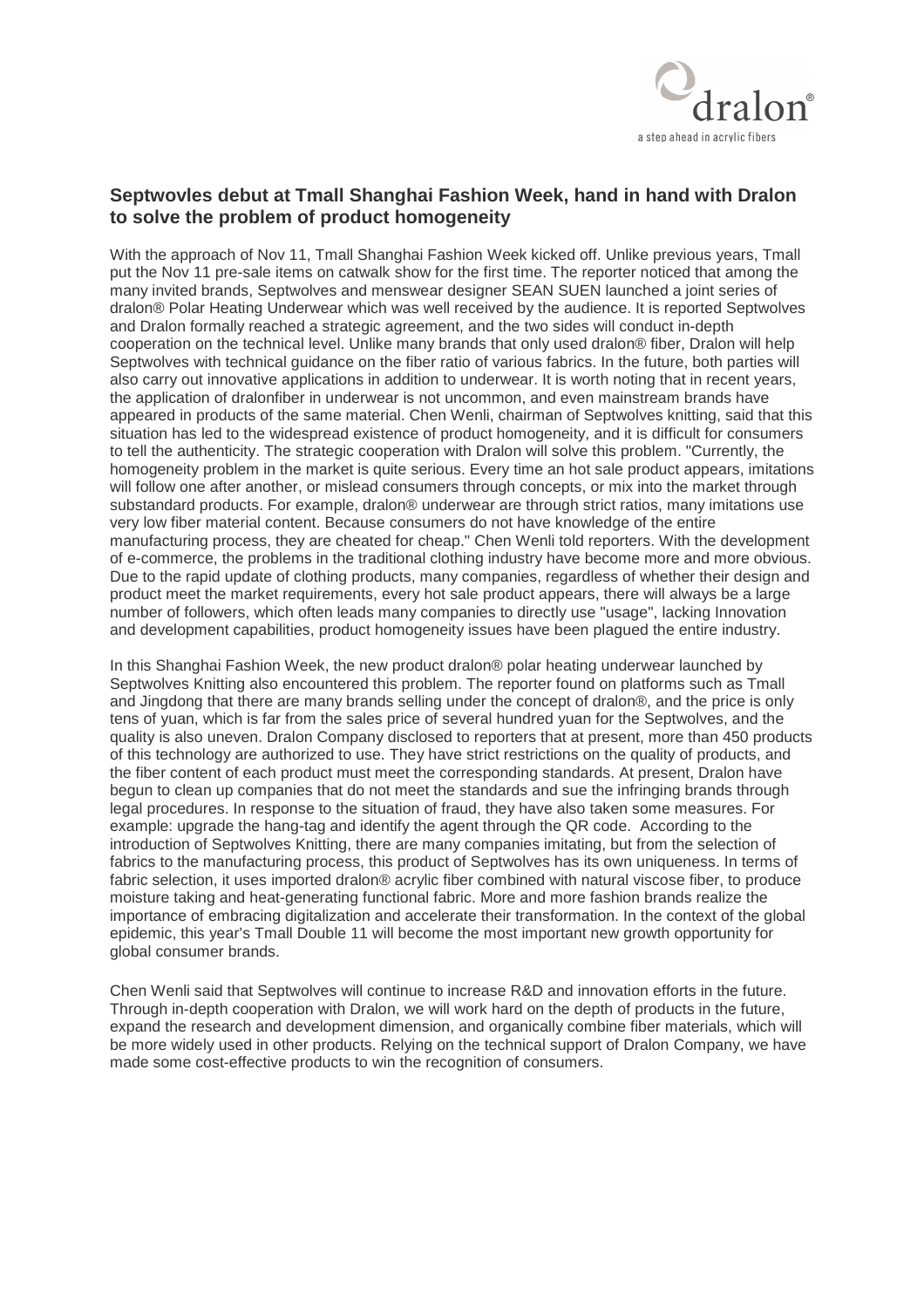

## **Septwovles debut at Tmall Shanghai Fashion Week, hand in hand with Dralon to solve the problem of product homogeneity**

With the approach of Nov 11, Tmall Shanghai Fashion Week kicked off. Unlike previous years, Tmall put the Nov 11 pre-sale items on catwalk show for the first time. The reporter noticed that among the many invited brands, Septwolves and menswear designer SEAN SUEN launched a joint series of dralon® Polar Heating Underwear which was well received by the audience. It is reported Septwolves and Dralon formally reached a strategic agreement, and the two sides will conduct in-depth cooperation on the technical level. Unlike many brands that only used dralon® fiber, Dralon will help Septwolves with technical guidance on the fiber ratio of various fabrics. In the future, both parties will also carry out innovative applications in addition to underwear. It is worth noting that in recent years, the application of dralonfiber in underwear is not uncommon, and even mainstream brands have appeared in products of the same material. Chen Wenli, chairman of Septwolves knitting, said that this situation has led to the widespread existence of product homogeneity, and it is difficult for consumers to tell the authenticity. The strategic cooperation with Dralon will solve this problem. "Currently, the homogeneity problem in the market is quite serious. Every time an hot sale product appears, imitations will follow one after another, or mislead consumers through concepts, or mix into the market through substandard products. For example, dralon® underwear are through strict ratios, many imitations use very low fiber material content. Because consumers do not have knowledge of the entire manufacturing process, they are cheated for cheap." Chen Wenli told reporters. With the development of e-commerce, the problems in the traditional clothing industry have become more and more obvious. Due to the rapid update of clothing products, many companies, regardless of whether their design and product meet the market requirements, every hot sale product appears, there will always be a large number of followers, which often leads many companies to directly use "usage", lacking Innovation and development capabilities, product homogeneity issues have been plagued the entire industry.

In this Shanghai Fashion Week, the new product dralon® polar heating underwear launched by Septwolves Knitting also encountered this problem. The reporter found on platforms such as Tmall and Jingdong that there are many brands selling under the concept of dralon®, and the price is only tens of yuan, which is far from the sales price of several hundred yuan for the Septwolves, and the quality is also uneven. Dralon Company disclosed to reporters that at present, more than 450 products of this technology are authorized to use. They have strict restrictions on the quality of products, and the fiber content of each product must meet the corresponding standards. At present, Dralon have begun to clean up companies that do not meet the standards and sue the infringing brands through legal procedures. In response to the situation of fraud, they have also taken some measures. For example: upgrade the hang-tag and identify the agent through the QR code. According to the introduction of Septwolves Knitting, there are many companies imitating, but from the selection of fabrics to the manufacturing process, this product of Septwolves has its own uniqueness. In terms of fabric selection, it uses imported dralon® acrylic fiber combined with natural viscose fiber, to produce moisture taking and heat-generating functional fabric. More and more fashion brands realize the importance of embracing digitalization and accelerate their transformation. In the context of the global epidemic, this year's Tmall Double 11 will become the most important new growth opportunity for global consumer brands.

Chen Wenli said that Septwolves will continue to increase R&D and innovation efforts in the future. Through in-depth cooperation with Dralon, we will work hard on the depth of products in the future, expand the research and development dimension, and organically combine fiber materials, which will be more widely used in other products. Relying on the technical support of Dralon Company, we have made some cost-effective products to win the recognition of consumers.